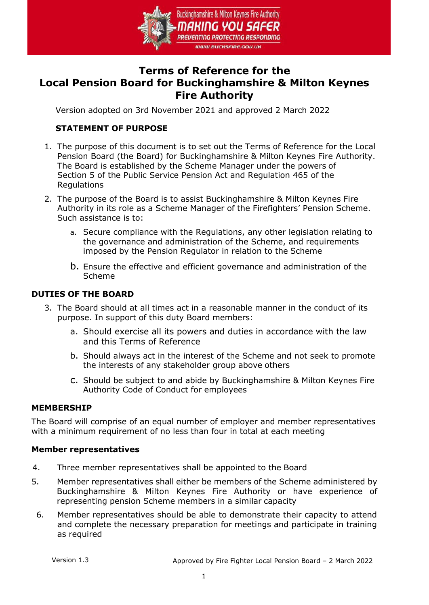

# **Terms of Reference for the Local Pension Board for Buckinghamshire & Milton Keynes Fire Authority**

Version adopted on 3rd November 2021 and approved 2 March 2022

# **STATEMENT OF PURPOSE**

- 1. The purpose of this document is to set out the Terms of Reference for the Local Pension Board (the Board) for Buckinghamshire & Milton Keynes Fire Authority. The Board is established by the Scheme Manager under the powers of Section 5 of the Public Service Pension Act and Regulation 465 of the Regulations
- 2. The purpose of the Board is to assist Buckinghamshire & Milton Keynes Fire Authority in its role as a Scheme Manager of the Firefighters' Pension Scheme. Such assistance is to:
	- a. Secure compliance with the Regulations, any other legislation relating to the governance and administration of the Scheme, and requirements imposed by the Pension Regulator in relation to the Scheme
	- b. Ensure the effective and efficient governance and administration of the Scheme

## **DUTIES OF THE BOARD**

- 3. The Board should at all times act in a reasonable manner in the conduct of its purpose. In support of this duty Board members:
	- a. Should exercise all its powers and duties in accordance with the law and this Terms of Reference
	- b. Should always act in the interest of the Scheme and not seek to promote the interests of any stakeholder group above others
	- c. Should be subject to and abide by Buckinghamshire & Milton Keynes Fire Authority Code of Conduct for employees

#### **MEMBERSHIP**

The Board will comprise of an equal number of employer and member representatives with a minimum requirement of no less than four in total at each meeting

#### **Member representatives**

- 4. Three member representatives shall be appointed to the Board
- 5. Member representatives shall either be members of the Scheme administered by Buckinghamshire & Milton Keynes Fire Authority or have experience of representing pension Scheme members in a similar capacity
	- 6. Member representatives should be able to demonstrate their capacity to attend and complete the necessary preparation for meetings and participate in training as required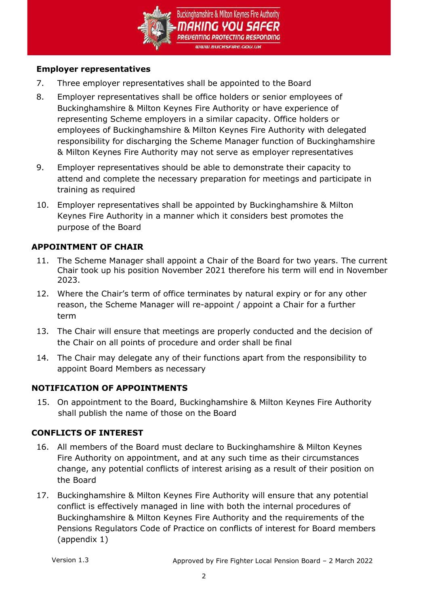

#### **Employer representatives**

- 7. Three employer representatives shall be appointed to the Board
- 8. Employer representatives shall be office holders or senior employees of Buckinghamshire & Milton Keynes Fire Authority or have experience of representing Scheme employers in a similar capacity. Office holders or employees of Buckinghamshire & Milton Keynes Fire Authority with delegated responsibility for discharging the Scheme Manager function of Buckinghamshire & Milton Keynes Fire Authority may not serve as employer representatives
- 9. Employer representatives should be able to demonstrate their capacity to attend and complete the necessary preparation for meetings and participate in training as required
- 10. Employer representatives shall be appointed by Buckinghamshire & Milton Keynes Fire Authority in a manner which it considers best promotes the purpose of the Board

## **APPOINTMENT OF CHAIR**

- 11. The Scheme Manager shall appoint a Chair of the Board for two years. The current Chair took up his position November 2021 therefore his term will end in November 2023.
- 12. Where the Chair's term of office terminates by natural expiry or for any other reason, the Scheme Manager will re-appoint / appoint a Chair for a further term
- 13. The Chair will ensure that meetings are properly conducted and the decision of the Chair on all points of procedure and order shall be final
- 14. The Chair may delegate any of their functions apart from the responsibility to appoint Board Members as necessary

# **NOTIFICATION OF APPOINTMENTS**

15. On appointment to the Board, Buckinghamshire & Milton Keynes Fire Authority shall publish the name of those on the Board

#### **CONFLICTS OF INTEREST**

- 16. All members of the Board must declare to Buckinghamshire & Milton Keynes Fire Authority on appointment, and at any such time as their circumstances change, any potential conflicts of interest arising as a result of their position on the Board
- 17. Buckinghamshire & Milton Keynes Fire Authority will ensure that any potential conflict is effectively managed in line with both the internal procedures of Buckinghamshire & Milton Keynes Fire Authority and the requirements of the Pensions Regulators Code of Practice on conflicts of interest for Board members (appendix 1)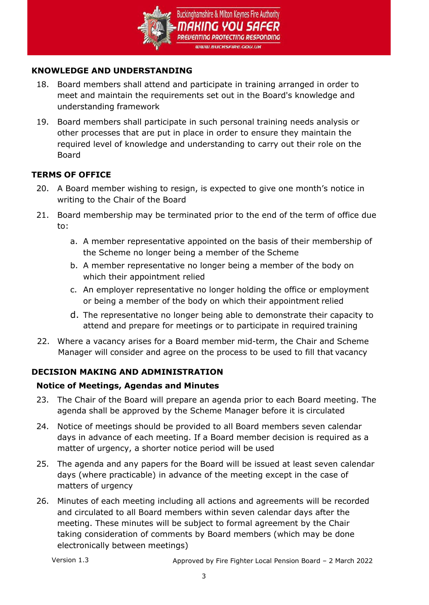

## **KNOWLEDGE AND UNDERSTANDING**

- 18. Board members shall attend and participate in training arranged in order to meet and maintain the requirements set out in the Board's knowledge and understanding framework
- 19. Board members shall participate in such personal training needs analysis or other processes that are put in place in order to ensure they maintain the required level of knowledge and understanding to carry out their role on the Board

# **TERMS OF OFFICE**

- 20. A Board member wishing to resign, is expected to give one month's notice in writing to the Chair of the Board
- 21. Board membership may be terminated prior to the end of the term of office due to:
	- a. A member representative appointed on the basis of their membership of the Scheme no longer being a member of the Scheme
	- b. A member representative no longer being a member of the body on which their appointment relied
	- c. An employer representative no longer holding the office or employment or being a member of the body on which their appointment relied
	- d. The representative no longer being able to demonstrate their capacity to attend and prepare for meetings or to participate in required training
- 22. Where a vacancy arises for a Board member mid-term, the Chair and Scheme Manager will consider and agree on the process to be used to fill that vacancy

# **DECISION MAKING AND ADMINISTRATION**

#### **Notice of Meetings, Agendas and Minutes**

- 23. The Chair of the Board will prepare an agenda prior to each Board meeting. The agenda shall be approved by the Scheme Manager before it is circulated
- 24. Notice of meetings should be provided to all Board members seven calendar days in advance of each meeting. If a Board member decision is required as a matter of urgency, a shorter notice period will be used
- 25. The agenda and any papers for the Board will be issued at least seven calendar days (where practicable) in advance of the meeting except in the case of matters of urgency
- 26. Minutes of each meeting including all actions and agreements will be recorded and circulated to all Board members within seven calendar days after the meeting. These minutes will be subject to formal agreement by the Chair taking consideration of comments by Board members (which may be done electronically between meetings)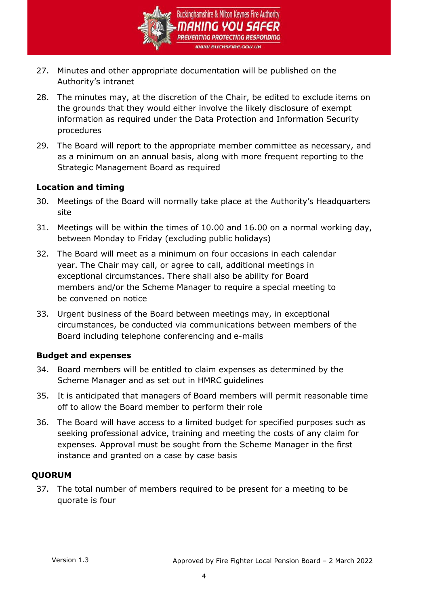

- 27. Minutes and other appropriate documentation will be published on the Authority's intranet
- 28. The minutes may, at the discretion of the Chair, be edited to exclude items on the grounds that they would either involve the likely disclosure of exempt information as required under the Data Protection and Information Security procedures
- 29. The Board will report to the appropriate member committee as necessary, and as a minimum on an annual basis, along with more frequent reporting to the Strategic Management Board as required

## **Location and timing**

- 30. Meetings of the Board will normally take place at the Authority's Headquarters site
- 31. Meetings will be within the times of 10.00 and 16.00 on a normal working day, between Monday to Friday (excluding public holidays)
- 32. The Board will meet as a minimum on four occasions in each calendar year. The Chair may call, or agree to call, additional meetings in exceptional circumstances. There shall also be ability for Board members and/or the Scheme Manager to require a special meeting to be convened on notice
- 33. Urgent business of the Board between meetings may, in exceptional circumstances, be conducted via communications between members of the Board including telephone conferencing and e-mails

#### **Budget and expenses**

- 34. Board members will be entitled to claim expenses as determined by the Scheme Manager and as set out in HMRC guidelines
- 35. It is anticipated that managers of Board members will permit reasonable time off to allow the Board member to perform their role
- 36. The Board will have access to a limited budget for specified purposes such as seeking professional advice, training and meeting the costs of any claim for expenses. Approval must be sought from the Scheme Manager in the first instance and granted on a case by case basis

# **QUORUM**

37. The total number of members required to be present for a meeting to be quorate is four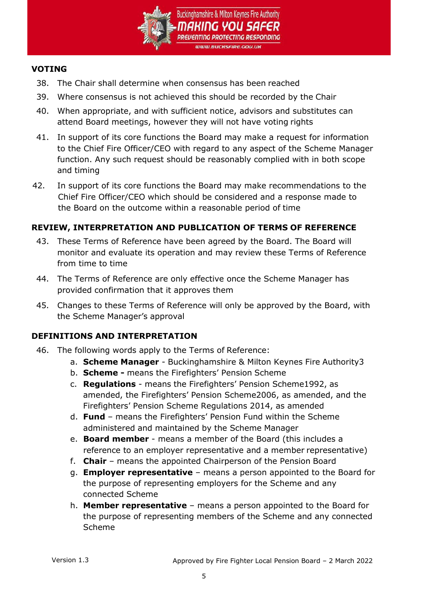

#### **VOTING**

- 38. The Chair shall determine when consensus has been reached
- 39. Where consensus is not achieved this should be recorded by the Chair
- 40. When appropriate, and with sufficient notice, advisors and substitutes can attend Board meetings, however they will not have voting rights
- 41. In support of its core functions the Board may make a request for information to the Chief Fire Officer/CEO with regard to any aspect of the Scheme Manager function. Any such request should be reasonably complied with in both scope and timing
- 42. In support of its core functions the Board may make recommendations to the Chief Fire Officer/CEO which should be considered and a response made to the Board on the outcome within a reasonable period of time

# **REVIEW, INTERPRETATION AND PUBLICATION OF TERMS OF REFERENCE**

- 43. These Terms of Reference have been agreed by the Board. The Board will monitor and evaluate its operation and may review these Terms of Reference from time to time
- 44. The Terms of Reference are only effective once the Scheme Manager has provided confirmation that it approves them
- 45. Changes to these Terms of Reference will only be approved by the Board, with the Scheme Manager's approval

# **DEFINITIONS AND INTERPRETATION**

- 46. The following words apply to the Terms of Reference:
	- a. **Scheme Manager** Buckinghamshire & Milton Keynes Fire Authority3
	- b. **Scheme -** means the Firefighters' Pension Scheme
	- c. **Regulations** means the Firefighters' Pension Scheme1992, as amended, the Firefighters' Pension Scheme2006, as amended, and the Firefighters' Pension Scheme Regulations 2014, as amended
	- d. **Fund** means the Firefighters' Pension Fund within the Scheme administered and maintained by the Scheme Manager
	- e. **Board member**  means a member of the Board (this includes a reference to an employer representative and a member representative)
	- f. **Chair** means the appointed Chairperson of the Pension Board
	- g. **Employer representative**  means a person appointed to the Board for the purpose of representing employers for the Scheme and any connected Scheme
	- h. **Member representative**  means a person appointed to the Board for the purpose of representing members of the Scheme and any connected Scheme